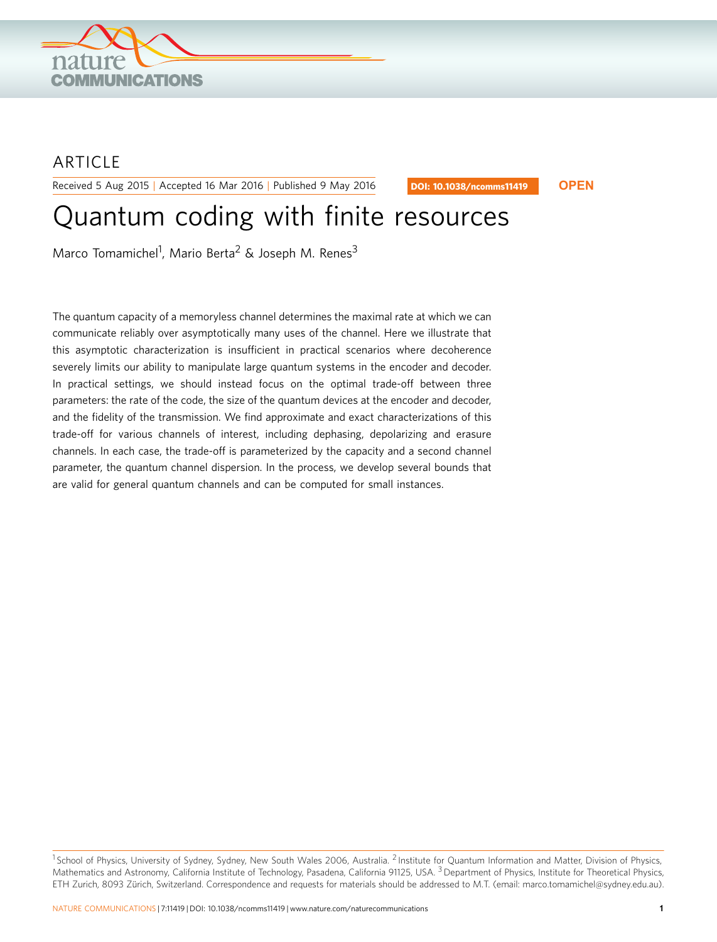

## ARTICLE

Received 5 Aug 2015 | Accepted 16 Mar 2016 | Published 9 May 2016

DOI: 10.1038/ncomms11419 **OPEN**

# Quantum coding with finite resources

Marco Tomamichel<sup>1</sup>, Mario Berta<sup>2</sup> & Joseph M. Renes<sup>3</sup>

The quantum capacity of a memoryless channel determines the maximal rate at which we can communicate reliably over asymptotically many uses of the channel. Here we illustrate that this asymptotic characterization is insufficient in practical scenarios where decoherence severely limits our ability to manipulate large quantum systems in the encoder and decoder. In practical settings, we should instead focus on the optimal trade-off between three parameters: the rate of the code, the size of the quantum devices at the encoder and decoder, and the fidelity of the transmission. We find approximate and exact characterizations of this trade-off for various channels of interest, including dephasing, depolarizing and erasure channels. In each case, the trade-off is parameterized by the capacity and a second channel parameter, the quantum channel dispersion. In the process, we develop several bounds that are valid for general quantum channels and can be computed for small instances.

<sup>&</sup>lt;sup>1</sup> School of Physics, University of Sydney, Sydney, New South Wales 2006, Australia. <sup>2</sup> Institute for Quantum Information and Matter, Division of Physics, Mathematics and Astronomy, California Institute of Technology, Pasadena, California 91125, USA. <sup>3</sup> Department of Physics, Institute for Theoretical Physics, ETH Zurich, 8093 Zürich, Switzerland. Correspondence and requests for materials should be addressed to M.T. (email: [marco.tomamichel@sydney.edu.au\)](mailto:marco.tomamichel@sydney.edu.au).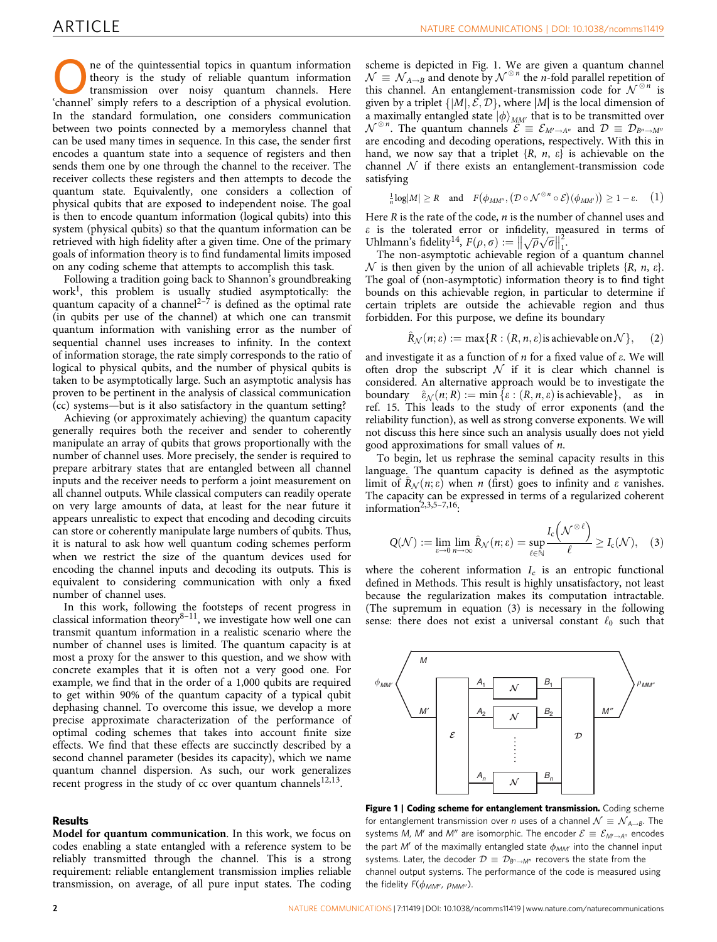The of the quintessential topics in quantum information<br>transmission over noisy quantum channels. Here<br>thennel' simply refers to a description of a physical evolution theory is the study of reliable quantum information 'channel' simply refers to a description of a physical evolution. In the standard formulation, one considers communication between two points connected by a memoryless channel that can be used many times in sequence. In this case, the sender first encodes a quantum state into a sequence of registers and then sends them one by one through the channel to the receiver. The receiver collects these registers and then attempts to decode the quantum state. Equivalently, one considers a collection of physical qubits that are exposed to independent noise. The goal is then to encode quantum information (logical qubits) into this system (physical qubits) so that the quantum information can be retrieved with high fidelity after a given time. One of the primary goals of information theory is to find fundamental limits imposed on any coding scheme that attempts to accomplish this task.

Following a tradition going back to Shannon's groundbreaking work<sup>[1](#page-6-0)</sup>, this problem is usually studied asymptotically: the quantum capacity of a channel<sup>[2–7](#page-6-0)</sup> is defined as the optimal rate (in qubits per use of the channel) at which one can transmit quantum information with vanishing error as the number of sequential channel uses increases to infinity. In the context of information storage, the rate simply corresponds to the ratio of logical to physical qubits, and the number of physical qubits is taken to be asymptotically large. Such an asymptotic analysis has proven to be pertinent in the analysis of classical communication (cc) systems—but is it also satisfactory in the quantum setting?

Achieving (or approximately achieving) the quantum capacity generally requires both the receiver and sender to coherently manipulate an array of qubits that grows proportionally with the number of channel uses. More precisely, the sender is required to prepare arbitrary states that are entangled between all channel inputs and the receiver needs to perform a joint measurement on all channel outputs. While classical computers can readily operate on very large amounts of data, at least for the near future it appears unrealistic to expect that encoding and decoding circuits can store or coherently manipulate large numbers of qubits. Thus, it is natural to ask how well quantum coding schemes perform when we restrict the size of the quantum devices used for encoding the channel inputs and decoding its outputs. This is equivalent to considering communication with only a fixed number of channel uses.

In this work, following the footsteps of recent progress in classical information theory $8-11$ , we investigate how well one can transmit quantum information in a realistic scenario where the number of channel uses is limited. The quantum capacity is at most a proxy for the answer to this question, and we show with concrete examples that it is often not a very good one. For example, we find that in the order of a 1,000 qubits are required to get within 90% of the quantum capacity of a typical qubit dephasing channel. To overcome this issue, we develop a more precise approximate characterization of the performance of optimal coding schemes that takes into account finite size effects. We find that these effects are succinctly described by a second channel parameter (besides its capacity), which we name quantum channel dispersion. As such, our work generalizes recent progress in the study of cc over quantum channels<sup>12,13</sup>.

#### Results

Model for quantum communication. In this work, we focus on codes enabling a state entangled with a reference system to be reliably transmitted through the channel. This is a strong requirement: reliable entanglement transmission implies reliable transmission, on average, of all pure input states. The coding

scheme is depicted in Fig. 1. We are given a quantum channel  $\mathcal{N} \equiv \mathcal{N}_{A \to B}$  and denote by  $\mathcal{N}^{\otimes n}$  the *n*-fold parallel repetition of this channel. An entanglement-transmission code for  $\mathcal{N}^{\otimes n}$  is given by a triplet  $\{|M|, \mathcal{E}, \mathcal{D}\}$ , where  $|M|$  is the local dimension of a maximally entangled state  $|\phi\rangle_{MM'}$  that is to be transmitted over  $\mathcal{N}^{\otimes n}$ . The quantum channels  $\mathcal{E} \equiv \mathcal{E}_{M' \to A^n}$  and  $\mathcal{D} \equiv \mathcal{D}_{B^n \to M^n}$ are encoding and decoding operations, respectively. With this in hand, we now say that a triplet  $\{R, n, \varepsilon\}$  is achievable on the channel  $N$  if there exists an entanglement-transmission code satisfying

$$
\frac{1}{n}\log|M| \ge R \quad \text{and} \quad F(\phi_{MM''}, (\mathcal{D} \circ \mathcal{N}^{\otimes n} \circ \mathcal{E})(\phi_{MM'}) ) \ge 1 - \varepsilon. \tag{1}
$$

Here  $R$  is the rate of the code,  $n$  is the number of channel uses and  $\varepsilon$  is the tolerated error or infidelity, measured in terms of Uhlmann's fidelity<sup>14</sup>,  $F(\rho, \sigma) := ||\sqrt{\rho}\sqrt{\sigma}||_1^2$ .

The non-asymptotic achievable region of a quantum channel N is then given by the union of all achievable triplets  $\{R, n, \varepsilon\}$ . The goal of (non-asymptotic) information theory is to find tight bounds on this achievable region, in particular to determine if certain triplets are outside the achievable region and thus forbidden. For this purpose, we define its boundary

$$
\hat{R}_{\mathcal{N}}(n; \varepsilon) := \max\{R : (R, n, \varepsilon) \text{ is achievable on } \mathcal{N}\}, \quad (2)
$$

and investigate it as a function of  $n$  for a fixed value of  $\varepsilon$ . We will often drop the subscript  $N$  if it is clear which channel is considered. An alternative approach would be to investigate the boundary  $\hat{\varepsilon}_N (n; R) := \min \{ \varepsilon : (R, n, \varepsilon) \text{ is achievable} \}, \text{ as in}$ [ref. 15.](#page-6-0) This leads to the study of error exponents (and the reliability function), as well as strong converse exponents. We will not discuss this here since such an analysis usually does not yield good approximations for small values of n.

To begin, let us rephrase the seminal capacity results in this language. The quantum capacity is defined as the asymptotic limit of  $\hat{R}_N(n;\varepsilon)$  when n (first) goes to infinity and  $\varepsilon$  vanishes. The capacity can be expressed in terms of a regularized coherent information $^{2,3,5-7,16}$ :

$$
Q(\mathcal{N}) := \lim_{\varepsilon \to 0} \lim_{n \to \infty} \hat{R}_{\mathcal{N}}(n; \varepsilon) = \sup_{\ell \in \mathbb{N}} \frac{I_c\left(\mathcal{N}^{\otimes \ell}\right)}{\ell} \ge I_c(\mathcal{N}), \quad (3)
$$

where the coherent information  $I_c$  is an entropic functional defined in Methods. This result is highly unsatisfactory, not least because the regularization makes its computation intractable. (The supremum in equation (3) is necessary in the following sense: there does not exist a universal constant  $\ell_0$  such that



Figure 1 | Coding scheme for entanglement transmission. Coding scheme for entanglement transmission over *n* uses of a channel  $\mathcal{N} \equiv \mathcal{N}_{A \rightarrow B}$ . The systems M, M' and M" are isomorphic. The encoder  $\mathcal{E} \equiv \mathcal{E}_{M' \to A''}$  encodes the part M' of the maximally entangled state  $\phi_{MM'}$  into the channel input systems. Later, the decoder  $\mathcal{D}\equiv\mathcal{D}_{\mathcal{B}^n\rightarrow \mathcal{M}^{\prime\prime}}$  recovers the state from the channel output systems. The performance of the code is measured using the fidelity  $F(\phi_{MM''}, \rho_{MM''})$ .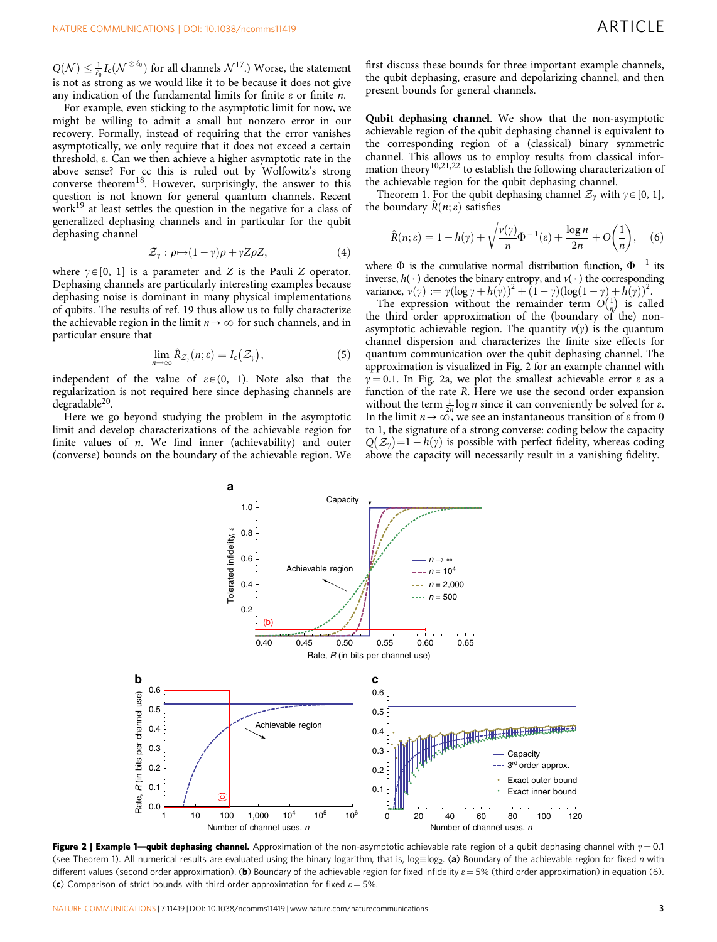<span id="page-2-0"></span> $Q(\mathcal{N}) \leq \frac{1}{\ell_0} I_{\text{c}}(\mathcal{N}^{\otimes \ell_0})$  for all channels  $\mathcal{N}^{17}$ .) Worse, the statement is not as strong as we would like it to be because it does not give any indication of the fundamental limits for finite  $\varepsilon$  or finite  $n$ .

For example, even sticking to the asymptotic limit for now, we might be willing to admit a small but nonzero error in our recovery. Formally, instead of requiring that the error vanishes asymptotically, we only require that it does not exceed a certain threshold, e. Can we then achieve a higher asymptotic rate in the above sense? For cc this is ruled out by Wolfowitz's strong converse theorem<sup>18</sup>. However, surprisingly, the answer to this question is not known for general quantum channels. Recent work[19](#page-7-0) at least settles the question in the negative for a class of generalized dephasing channels and in particular for the qubit dephasing channel

$$
\mathcal{Z}_{\gamma} : \rho \mapsto (1 - \gamma)\rho + \gamma Z \rho Z, \tag{4}
$$

where  $\gamma \in [0, 1]$  is a parameter and Z is the Pauli Z operator. Dephasing channels are particularly interesting examples because dephasing noise is dominant in many physical implementations of qubits. The results of [ref. 19](#page-7-0) thus allow us to fully characterize the achievable region in the limit  $n \rightarrow \infty$  for such channels, and in particular ensure that

$$
\lim_{n\to\infty}\hat{R}_{\mathcal{Z}_{\gamma}}(n;\varepsilon)=I_{c}\big(\mathcal{Z}_{\gamma}\big),\qquad \qquad (5)
$$

independent of the value of  $\varepsilon \in (0, 1)$ . Note also that the regularization is not required here since dephasing channels are degradable[20.](#page-7-0)

Here we go beyond studying the problem in the asymptotic limit and develop characterizations of the achievable region for finite values of  $n$ . We find inner (achievability) and outer (converse) bounds on the boundary of the achievable region. We first discuss these bounds for three important example channels, the qubit dephasing, erasure and depolarizing channel, and then present bounds for general channels.

Qubit dephasing channel. We show that the non-asymptotic achievable region of the qubit dephasing channel is equivalent to the corresponding region of a (classical) binary symmetric channel. This allows us to employ results from classical information theory<sup>10,21,22</sup> to establish the following characterization of the achievable region for the qubit dephasing channel.

Theorem 1. For the qubit dephasing channel  $\mathcal{Z}_{\nu}$  with  $\gamma \in [0, 1]$ , the boundary  $\hat{R}(n; \varepsilon)$  satisfies

$$
\hat{R}(n; \varepsilon) = 1 - h(\gamma) + \sqrt{\frac{\nu(\gamma)}{n}} \Phi^{-1}(\varepsilon) + \frac{\log n}{2n} + O\left(\frac{1}{n}\right), \quad (6)
$$

where  $\Phi$  is the cumulative normal distribution function,  $\Phi^{-1}$  its inverse,  $h(\cdot)$  denotes the binary entropy, and  $v(\cdot)$  the corresponding variance,  $v(\gamma) := \gamma (\log \gamma + h(\gamma))^2 + (1 - \gamma)(\log(1 - \gamma) + h(\gamma))^2$ .

The expression without the remainder term  $O(\frac{1}{n})$  $\theta(\frac{1}{n})$  is called the third order approximation of the (boundary of the) nonasymptotic achievable region. The quantity  $v(y)$  is the quantum channel dispersion and characterizes the finite size effects for quantum communication over the qubit dephasing channel. The approximation is visualized in Fig. 2 for an example channel with  $\gamma = 0.1$ . In Fig. 2a, we plot the smallest achievable error  $\varepsilon$  as a function of the rate R. Here we use the second order expansion without the term  $\frac{1}{2n} \log n$  since it can conveniently be solved for  $\varepsilon$ . In the limit  $n \to \infty$ , we see an instantaneous transition of  $\varepsilon$  from 0 to 1, the signature of a strong converse: coding below the capacity  $Q(\mathcal{Z}_\gamma)=1-h(\gamma)$  is possible with perfect fidelity, whereas coding above the capacity will necessarily result in a vanishing fidelity.



Figure 2 | Example 1—qubit dephasing channel. Approximation of the non-asymptotic achievable rate region of a qubit dephasing channel with  $\gamma = 0.1$ (see Theorem 1). All numerical results are evaluated using the binary logarithm, that is, log $\equiv$ log<sub>2</sub>. (**a**) Boundary of the achievable region for fixed *n* with different values (second order approximation). (b) Boundary of the achievable region for fixed infidelity  $\varepsilon = 5%$  (third order approximation) in equation (6). (c) Comparison of strict bounds with third order approximation for fixed  $\varepsilon = 5\%$ .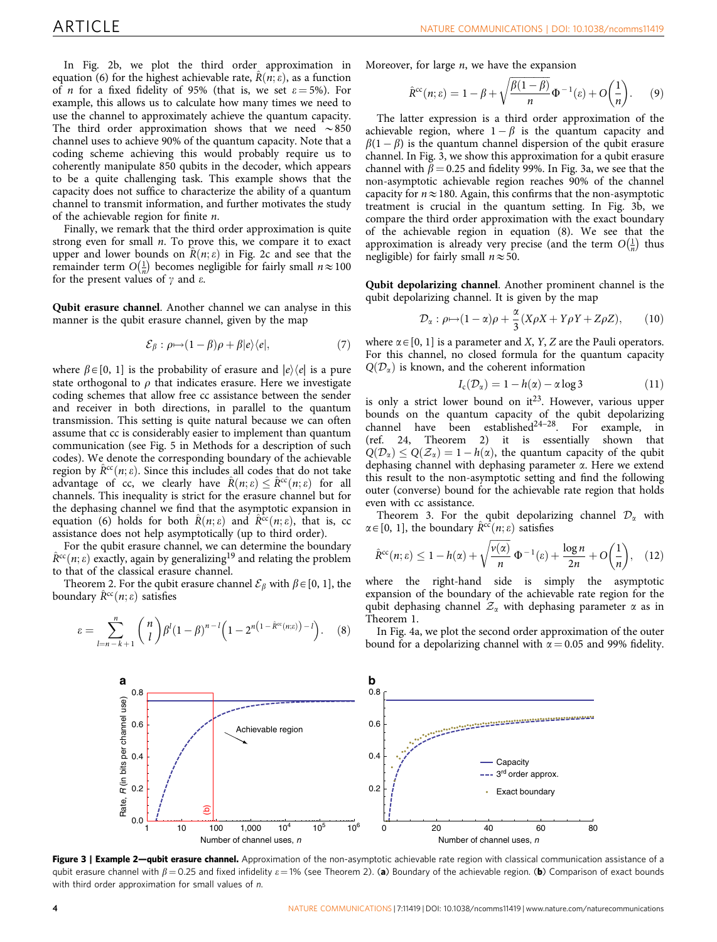<span id="page-3-0"></span>In [Fig. 2b,](#page-2-0) we plot the third order approximation in equation (6) for the highest achievable rate,  $\hat{R}(n; \varepsilon)$ , as a function of *n* for a fixed fidelity of 95% (that is, we set  $\varepsilon = 5\%$ ). For example, this allows us to calculate how many times we need to use the channel to approximately achieve the quantum capacity. The third order approximation shows that we need  $\sim 850$ channel uses to achieve 90% of the quantum capacity. Note that a coding scheme achieving this would probably require us to coherently manipulate 850 qubits in the decoder, which appears to be a quite challenging task. This example shows that the capacity does not suffice to characterize the ability of a quantum channel to transmit information, and further motivates the study of the achievable region for finite n.

Finally, we remark that the third order approximation is quite strong even for small  $n$ . To prove this, we compare it to exact upper and lower bounds on  $\hat{R}(n; \varepsilon)$  in [Fig. 2c](#page-2-0) and see that the remainder term  $O(\frac{1}{n})$ bounds on  $R(n, b)$  in Fig. 2e and see that the  $\left(\frac{1}{n}\right)$  becomes negligible for fairly small  $n \approx 100$ for the present values of  $\gamma$  and  $\varepsilon$ .

Qubit erasure channel. Another channel we can analyse in this manner is the qubit erasure channel, given by the map

$$
\mathcal{E}_{\beta} : \rho \mapsto (1 - \beta)\rho + \beta |e\rangle\langle e|, \tag{7}
$$

where  $\beta \in [0, 1]$  is the probability of erasure and  $|e\rangle\langle e|$  is a pure state orthogonal to  $\rho$  that indicates erasure. Here we investigate coding schemes that allow free cc assistance between the sender and receiver in both directions, in parallel to the quantum transmission. This setting is quite natural because we can often assume that cc is considerably easier to implement than quantum communication (see [Fig. 5](#page-4-0) in Methods for a description of such codes). We denote the corresponding boundary of the achievable region by  $\hat{R}^{cc}(n;\varepsilon)$ . Since this includes all codes that do not take advantage of cc, we clearly have  $\hat{R}(n; \varepsilon) \leq \hat{R}^{cc}(n; \varepsilon)$  for all channels. This inequality is strict for the erasure channel but for the dephasing channel we find that the asymptotic expansion in equation (6) holds for both  $\hat{R}(n; \varepsilon)$  and  $\hat{R}^{cc}(n; \varepsilon)$ , that is, cc assistance does not help asymptotically (up to third order).

For the qubit erasure channel, we can determine the boundary  $\hat{R}^{cc}(n; \varepsilon)$  exactly, again by generalizing<sup>[19](#page-7-0)</sup> and relating the problem to that of the classical erasure channel.

Theorem 2. For the qubit erasure channel  $\mathcal{E}_{\beta}$  with  $\beta \in [0, 1]$ , the boundary  $\hat{R}^{cc}(n; \varepsilon)$  satisfies

$$
\varepsilon = \sum_{l=n-k+1}^{n} {n \choose l} \beta^l (1-\beta)^{n-l} \left(1 - 2^{n\left(1 - \hat{R}^{\alpha}(n;\varepsilon)\right) - l}\right). \tag{8}
$$

Moreover, for large  $n$ , we have the expansion

$$
\hat{R}^{cc}(n; \varepsilon) = 1 - \beta + \sqrt{\frac{\beta(1-\beta)}{n}} \Phi^{-1}(\varepsilon) + O\left(\frac{1}{n}\right). \tag{9}
$$

The latter expression is a third order approximation of the achievable region, where  $1 - \beta$  is the quantum capacity and  $\beta(1 - \beta)$  is the quantum channel dispersion of the qubit erasure channel. In Fig. 3, we show this approximation for a qubit erasure channel with  $\beta$  = 0.25 and fidelity 99%. In Fig. 3a, we see that the non-asymptotic achievable region reaches 90% of the channel capacity for  $n \approx 180$ . Again, this confirms that the non-asymptotic treatment is crucial in the quantum setting. In Fig. 3b, we compare the third order approximation with the exact boundary of the achievable region in equation (8). We see that the approximation is already very precise (and the term  $O(\frac{1}{n})$  $\theta\left(\frac{1}{n}\right)$  thus negligible) for fairly small  $n \approx 50$ .

Qubit depolarizing channel. Another prominent channel is the qubit depolarizing channel. It is given by the map

$$
\mathcal{D}_{\alpha} : \rho \mapsto (1 - \alpha)\rho + \frac{\alpha}{3}(X\rho X + Y\rho Y + Z\rho Z), \qquad (10)
$$

where  $\alpha \in [0, 1]$  is a parameter and X, Y, Z are the Pauli operators. For this channel, no closed formula for the quantum capacity  $Q(\mathcal{D}_\alpha)$  is known, and the coherent information

$$
I_{c}(\mathcal{D}_{\alpha}) = 1 - h(\alpha) - \alpha \log 3 \qquad (11)
$$

is only a strict lower bound on  $it^{23}$ . However, various upper bounds on the quantum capacity of the qubit depolarizing channel have been established $24-28$ . For example, in ([ref. 24](#page-7-0), Theorem 2) it is essentially shown that  $Q(\mathcal{D}_\alpha) \leq Q(\mathcal{Z}_\alpha) = 1 - h(\alpha)$ , the quantum capacity of the qubit dephasing channel with dephasing parameter  $\alpha$ . Here we extend this result to the non-asymptotic setting and find the following outer (converse) bound for the achievable rate region that holds even with cc assistance.

Theorem 3. For the qubit depolarizing channel  $\mathcal{D}_{\alpha}$  with  $\alpha \in [0, 1]$ , the boundary  $\hat{R}^{cc}(n; \varepsilon)$  satisfies

$$
\hat{R}^{cc}(n; \varepsilon) \le 1 - h(\alpha) + \sqrt{\frac{v(\alpha)}{n}} \Phi^{-1}(\varepsilon) + \frac{\log n}{2n} + O\left(\frac{1}{n}\right), \quad (12)
$$

where the right-hand side is simply the asymptotic expansion of the boundary of the achievable rate region for the qubit dephasing channel  $\mathcal{Z}_{\alpha}$  with dephasing parameter  $\alpha$  as in Theorem 1.

In [Fig. 4a,](#page-4-0) we plot the second order approximation of the outer bound for a depolarizing channel with  $\alpha = 0.05$  and 99% fidelity.



Figure 3 | Example 2-qubit erasure channel. Approximation of the non-asymptotic achievable rate region with classical communication assistance of a qubit erasure channel with  $\beta$  = 0.25 and fixed infidelity  $\varepsilon$  = 1% (see Theorem 2). (a) Boundary of the achievable region. (b) Comparison of exact bounds with third order approximation for small values of n.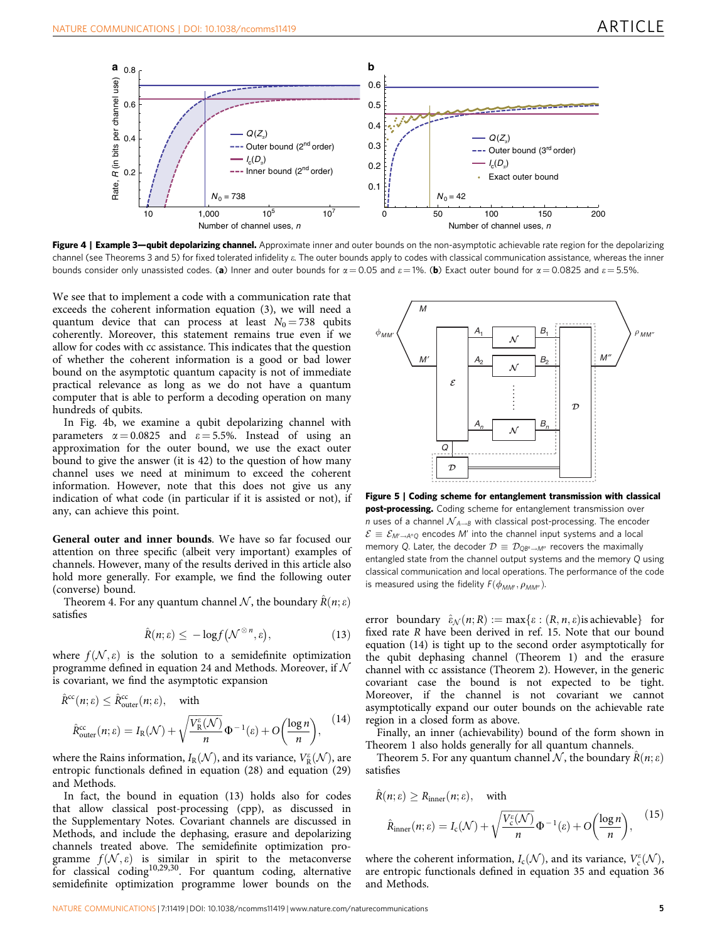<span id="page-4-0"></span>

Figure 4 | Example 3—qubit depolarizing channel. Approximate inner and outer bounds on the non-asymptotic achievable rate region for the depolarizing channel (see Theorems 3 and 5) for fixed tolerated infidelity e. The outer bounds apply to codes with classical communication assistance, whereas the inner bounds consider only unassisted codes. (a) Inner and outer bounds for  $\alpha = 0.05$  and  $\epsilon = 1\%$ . (b) Exact outer bound for  $\alpha = 0.0825$  and  $\epsilon = 5.5\%$ .

We see that to implement a code with a communication rate that exceeds the coherent information equation (3), we will need a quantum device that can process at least  $N_0 = 738$  qubits coherently. Moreover, this statement remains true even if we allow for codes with cc assistance. This indicates that the question of whether the coherent information is a good or bad lower bound on the asymptotic quantum capacity is not of immediate practical relevance as long as we do not have a quantum computer that is able to perform a decoding operation on many hundreds of qubits.

In Fig. 4b, we examine a qubit depolarizing channel with parameters  $\alpha = 0.0825$  and  $\epsilon = 5.5\%$ . Instead of using an approximation for the outer bound, we use the exact outer bound to give the answer (it is 42) to the question of how many channel uses we need at minimum to exceed the coherent information. However, note that this does not give us any indication of what code (in particular if it is assisted or not), if any, can achieve this point.

General outer and inner bounds. We have so far focused our attention on three specific (albeit very important) examples of channels. However, many of the results derived in this article also hold more generally. For example, we find the following outer (converse) bound.

Theorem 4. For any quantum channel N, the boundary  $\hat{R}(n; \varepsilon)$ satisfies

$$
\hat{R}(n; \varepsilon) \le -\log f(\mathcal{N}^{\otimes n}, \varepsilon), \tag{13}
$$

where  $f(\mathcal{N}, \varepsilon)$  is the solution to a semidefinite optimization programme defined in equation 24 and Methods. Moreover, if  $\mathcal N$ is covariant, we find the asymptotic expansion

$$
\hat{R}^{\text{cc}}(n; \varepsilon) \leq \hat{R}_{\text{outer}}^{\text{cc}}(n; \varepsilon), \quad \text{with}
$$
\n
$$
\hat{R}_{\text{outer}}^{\text{cc}}(n; \varepsilon) = I_{\text{R}}(\mathcal{N}) + \sqrt{\frac{V_{\text{R}}^{\varepsilon}(\mathcal{N})}{n}} \Phi^{-1}(\varepsilon) + O\left(\frac{\log n}{n}\right), \quad (14)
$$

where the Rains information,  $I_{\mathrm{R}}(\mathcal{N})$ , and its variance,  $V^{\varepsilon}_{\mathrm{R}}(\mathcal{N})$ , are entropic functionals defined in equation (28) and equation (29) and Methods.

In fact, the bound in equation (13) holds also for codes that allow classical post-processing (cpp), as discussed in the Supplementary Notes. Covariant channels are discussed in Methods, and include the dephasing, erasure and depolarizing channels treated above. The semidefinite optimization programme  $f(\mathcal{N}, \varepsilon)$  is similar in spirit to the metaconverse for classical coding<sup>10,29,30</sup>. For quantum coding, alternative semidefinite optimization programme lower bounds on the



Figure 5 | Coding scheme for entanglement transmission with classical post-processing. Coding scheme for entanglement transmission over n uses of a channel  $\mathcal{N}_{A\rightarrow B}$  with classical post-processing. The encoder  $\mathcal{E}\equiv\mathcal{E}_{\mathcal{M}'\rightarrow\mathcal{A}^{n}Q}$  encodes  $\mathcal{M}'$  into the channel input systems and a local memory Q. Later, the decoder  $\mathcal{D} \equiv \mathcal{D}_{\text{QB}^n \rightarrow M''}$  recovers the maximally entangled state from the channel output systems and the memory Q using classical communication and local operations. The performance of the code is measured using the fidelity  $F(\phi_{MM'}, \rho_{MM''})$ .

error boundary  $\hat{\epsilon}_N(n; R) := \max\{\epsilon : (R, n, \epsilon) \text{ is achievable}\}\$ for fixed rate R have been derived in [ref. 15.](#page-6-0) Note that our bound equation (14) is tight up to the second order asymptotically for the qubit dephasing channel (Theorem 1) and the erasure channel with cc assistance (Theorem 2). However, in the generic covariant case the bound is not expected to be tight. Moreover, if the channel is not covariant we cannot asymptotically expand our outer bounds on the achievable rate region in a closed form as above.

Finally, an inner (achievability) bound of the form shown in Theorem 1 also holds generally for all quantum channels.

Theorem 5. For any quantum channel N, the boundary  $\hat{R}(n; \varepsilon)$ satisfies

$$
\hat{R}(n; \varepsilon) \ge R_{\text{inner}}(n; \varepsilon), \quad \text{with}
$$
\n
$$
\hat{R}_{\text{inner}}(n; \varepsilon) = I_c(\mathcal{N}) + \sqrt{\frac{V_c^{\varepsilon}(\mathcal{N})}{n}} \Phi^{-1}(\varepsilon) + O\left(\frac{\log n}{n}\right), \quad (15)
$$

where the coherent information,  $I_c(\mathcal{N})$ , and its variance,  $V_c^{\varepsilon}(\mathcal{N})$ , are entropic functionals defined in equation 35 and equation 36 and Methods.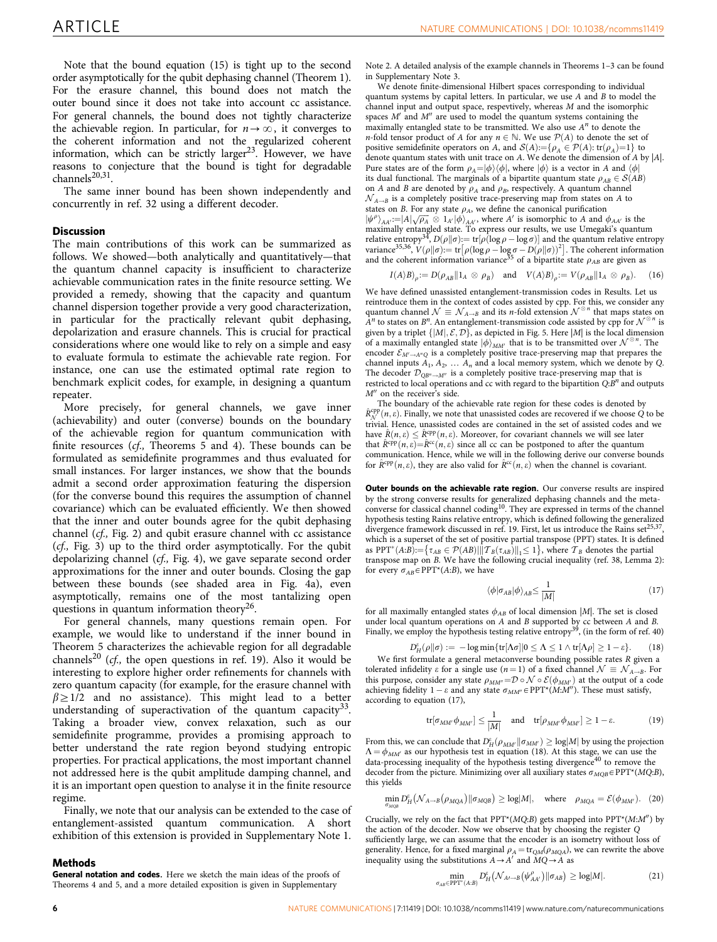Note that the bound equation (15) is tight up to the second order asymptotically for the qubit dephasing channel (Theorem 1). For the erasure channel, this bound does not match the outer bound since it does not take into account cc assistance. For general channels, the bound does not tightly characterize the achievable region. In particular, for  $n \to \infty$ , it converges to the coherent information and not the regularized coherent information, which can be strictly larger<sup>23</sup>. However, we have reasons to conjecture that the bound is tight for degradable channels<sup>20,31</sup>

The same inner bound has been shown independently and concurrently in [ref. 32](#page-7-0) using a different decoder.

### **Discussion**

The main contributions of this work can be summarized as follows. We showed—both analytically and quantitatively—that the quantum channel capacity is insufficient to characterize achievable communication rates in the finite resource setting. We provided a remedy, showing that the capacity and quantum channel dispersion together provide a very good characterization, in particular for the practically relevant qubit dephasing, depolarization and erasure channels. This is crucial for practical considerations where one would like to rely on a simple and easy to evaluate formula to estimate the achievable rate region. For instance, one can use the estimated optimal rate region to benchmark explicit codes, for example, in designing a quantum repeater.

More precisely, for general channels, we gave inner (achievability) and outer (converse) bounds on the boundary of the achievable region for quantum communication with finite resources (cf., Theorems 5 and 4). These bounds can be formulated as semidefinite programmes and thus evaluated for small instances. For larger instances, we show that the bounds admit a second order approximation featuring the dispersion (for the converse bound this requires the assumption of channel covariance) which can be evaluated efficiently. We then showed that the inner and outer bounds agree for the qubit dephasing channel (cf., [Fig. 2](#page-2-0)) and qubit erasure channel with cc assistance (cf., [Fig. 3](#page-3-0)) up to the third order asymptotically. For the qubit depolarizing channel (cf., [Fig. 4](#page-4-0)), we gave separate second order approximations for the inner and outer bounds. Closing the gap between these bounds (see shaded area in [Fig. 4a](#page-4-0)), even asymptotically, remains one of the most tantalizing open questions in quantum information theory<sup>[26](#page-7-0)</sup>.

For general channels, many questions remain open. For example, we would like to understand if the inner bound in Theorem 5 characterizes the achievable region for all degradable channels<sup>[20](#page-7-0)</sup> (cf., the open questions in [ref. 19\)](#page-7-0). Also it would be interesting to explore higher order refinements for channels with zero quantum capacity (for example, for the erasure channel with  $\beta \geq 1/2$  and no assistance). This might lead to a better understanding of superactivation of the quantum capacity<sup>33</sup>. Taking a broader view, convex relaxation, such as our semidefinite programme, provides a promising approach to better understand the rate region beyond studying entropic properties. For practical applications, the most important channel not addressed here is the qubit amplitude damping channel, and it is an important open question to analyse it in the finite resource regime.

Finally, we note that our analysis can be extended to the case of entanglement-assisted quantum communication. A short exhibition of this extension is provided in Supplementary Note 1.

#### Methods

General notation and codes. Here we sketch the main ideas of the proofs of Theorems 4 and 5, and a more detailed exposition is given in Supplementary

Note 2. A detailed analysis of the example channels in Theorems 1–3 can be found in Supplementary Note 3.

We denote finite-dimensional Hilbert spaces corresponding to individual quantum systems by capital letters. In particular, we use A and B to model the channel input and output space, respevtively, whereas M and the isomorphic spaces  $M'$  and  $M''$  are used to model the quantum systems containing the maximally entangled state to be transmitted. We also use  $A<sup>n</sup>$  to denote the *n*-fold tensor product of A for any  $n \in \mathbb{N}$ . We use  $\mathcal{P}(A)$  to denote the set of positive semidefinite operators on A, and  $S(A) := \{ \rho_A \in \mathcal{P}(A) : \text{tr}(\rho_A) = 1 \}$  to denote quantum states with unit trace on A. We denote the dimension of A by  $|A|$ . Pure states are of the form  $\rho_A = |\phi\rangle\langle\phi|$ , where  $|\phi\rangle$  is a vector in A and  $\langle\phi|$ its dual functional. The marginals of a bipartite quantum state  $\rho_{AB} \in \mathcal{S}(AB)$ on A and B are denoted by  $\rho_A$  and  $\rho_B$ , respectively. A quantum channel  $N_{A\rightarrow B}$  is a completely positive trace-preserving map from states on A to states on B. For any state  $\rho_A$ , we define the canonical purification states on *D*. To: any state  $\mu_A$ , we denote the dimensional purmistation<br> $|\psi^A\rangle_{AA'} := |A|\sqrt{\rho_A} \otimes 1_A/\phi|_{AA'}$ , where A' is isomorphic to A and  $\phi_{AA'}$  is the<br>maximally entangled state. To express our results, we use Umegaki relative entropy<sup>[34](#page-7-0)</sup>,  $D(\rho||\sigma) = \text{tr}[\rho(\log \rho - \log \sigma)]$  and the quantum relative entropy variance<sup>[35,36](#page-7-0)</sup>,  $V(\rho||\sigma) := \text{tr}[\rho(\log \rho - \log \sigma - D(\rho||\sigma))^2]$ . The coherent information and the coherent information variance<sup>[35](#page-7-0)</sup> of a bipartite state  $\rho_{AB}$  are given as

$$
I(A \rangle B)_{\rho} := D(\rho_{AB} || 1_A \otimes \rho_B) \quad \text{and} \quad V(A \rangle B)_{\rho} := V(\rho_{AB} || 1_A \otimes \rho_B).
$$
 (16)

We have defined unassisted entanglement-transmission codes in Results. Let us reintroduce them in the context of codes assisted by cpp. For this, we consider any quantum channel  $\mathcal{N} \equiv \mathcal{N}_{A \to B}$  and its *n*-fold extension  $\mathcal{N}^{\otimes n}$  that maps states on  $A^n$  to states on  $B^n$ . An entanglement-transmission code assisted by cpp for  $\mathcal{N}^{\otimes n}$ given by a triplet  $\{|M|, \mathcal{E}, \mathcal{D}\}\$ , as depicted in [Fig. 5.](#page-4-0) Here  $|M|$  is the local dimension of a maximally entangled state  $|\phi\rangle_{MM'}$  that is to be transmitted over  $\mathcal{N}^{\otimes n}$ . The encoder  $\mathcal{E}_{M'\to A''Q}$  is a completely positive trace-preserving map that prepares the channel inputs  $A_1, A_2, \ldots, A_n$  and a local memory system, which we denote by Q. The decoder  $\mathcal{D}_{OB^n \rightarrow M''}$  is a completely positive trace-preserving map that is restricted to local operations and cc with regard to the bipartition  $Q:B^n$  and outputs  $M''$  on the receiver's side.

The boundary of the achievable rate region for these codes is denoted by  $\hat{R}_{\mathcal{N}}^{\text{app}}(n,\varepsilon)$ . Finally, we note that unassisted codes are recovered if we choose Q to be trivial. Hence, unassisted codes are contained in the set of assisted codes and we have  $\hat{R}(n, \varepsilon) \leq \hat{R}^{\text{cpp}}(n, \varepsilon)$ . Moreover, for covariant channels we will see later that  $\hat{R}^{cpp}(n,\varepsilon) = \hat{R}^{cc}(n,\varepsilon)$  since all cc can be postponed to after the quantum communication. Hence, while we will in the following derive our converse bounds for  $\hat{R}^{cpp}(n,\varepsilon)$ , they are also valid for  $\hat{R}^{cc}(n,\varepsilon)$  when the channel is covariant.

Outer bounds on the achievable rate region. Our converse results are inspired by the strong converse results for generalized dephasing channels and the meta-converse for classical channel coding<sup>[10](#page-6-0)</sup>. They are expressed in terms of the channel hypothesis testing Rains relative entropy, which is defined following the generalized divergence framework discussed in [ref. 19](#page-7-0). First, let us introduce the Rains  $set^{25}$ which is a superset of the set of positive partial transpose (PPT) states. It is defined as PPT<sup>\*</sup> $(A:B) := \{ \tau_{AB} \in \mathcal{P}(AB) | ||\mathcal{T}_B(\tau_{AB})||_1 \leq 1 \}$ , where  $\mathcal{T}_B$  denotes the partial transpose map on B. We have the following crucial inequality ([ref. 38](#page-7-0), Lemma 2): for every  $\sigma_{AB} \in \text{PPT}^*(A:B)$ , we have

$$
\langle \phi | \sigma_{AB} | \phi \rangle_{AB} \le \frac{1}{|M|} \tag{17}
$$

for all maximally entangled states  $\phi_{AB}$  of local dimension |M|. The set is closed under local quantum operations on  $\overrightarrow{A}$  and  $\overrightarrow{B}$  supported by cc between  $A$  and  $\overrightarrow{B}$ . Finally, we employ the hypothesis testing relative entropy<sup>39</sup>, (in the form of [ref. 40](#page-7-0))

$$
D_H^{\varepsilon}(\rho \|\sigma) := -\log \min \{ \text{tr}[\Lambda \sigma] | 0 \le \Lambda \le 1 \wedge \text{tr}[\Lambda \rho] \ge 1 - \varepsilon \}. \tag{18}
$$

We first formulate a general metaconverse bounding possible rates R given a tolerated infidelity  $\varepsilon$  for a single use  $(n=1)$  of a fixed channel  $\mathcal{N} \equiv \mathcal{N}_{A \rightarrow B}$ . For this purpose, consider any state  $\rho_{MM''}=D \circ \mathcal{N} \circ \mathcal{E}(\phi_{MM'})$  at the output of a code achieving fidelity  $1 - \varepsilon$  and any state  $\sigma_{MM''} \in \text{PPT}^*(M:M'')$ . These must satisfy, according to equation (17),

$$
\text{tr}[\sigma_{MM'}\phi_{MM'}] \le \frac{1}{|M|} \quad \text{and} \quad \text{tr}[\rho_{MM'}\phi_{MM'}] \ge 1 - \varepsilon. \tag{19}
$$

From this, we can conclude that  $D_H^{\varepsilon}(\rho_{MM'}\|\sigma_{MM'})\geq \log\!M\vert}$  by using the projection  $\Lambda = \phi_{MM}$  as our hypothesis test in equation (18). At this stage, we can use the data-processing inequality of the hypothesis testing divergence<sup>[40](#page-7-0)</sup> to remove the decoder from the picture. Minimizing over all auxiliary states  $\sigma_{MOB} \in \text{PPT}^*(MQ:B)$ , this yields

$$
\min_{\sigma_{MQB}} D_H^e(\mathcal{N}_{A\rightarrow B}(\rho_{MQA}) || \sigma_{MQB}) \geq \log|M|, \quad \text{where} \quad \rho_{MQA} = \mathcal{E}(\phi_{MM}). \quad (20)
$$

Crucially, we rely on the fact that  $PPT^{*}(MQ:B)$  gets mapped into  $PPT^{*}(M:M'')$  by the action of the decoder. Now we observe that by choosing the register Q sufficiently large, we can assume that the encoder is an isometry without loss of generality. Hence, for a fixed marginal  $\rho_A = \text{tr}_{QM}(\rho_{MQA})$ , we can rewrite the above inequality using the substitutions  $A \rightarrow A'$  and  $MQ \rightarrow A$  as

$$
\min_{\sigma_{AB}\in\text{PPT}^*(A:B)} D_H^{\varepsilon} \big(\mathcal{N}_{A\prime\to B} \big(\psi_{AA'}^{\rho}\big) \| \sigma_{AB} \big) \ge \log|M|.
$$
 (21)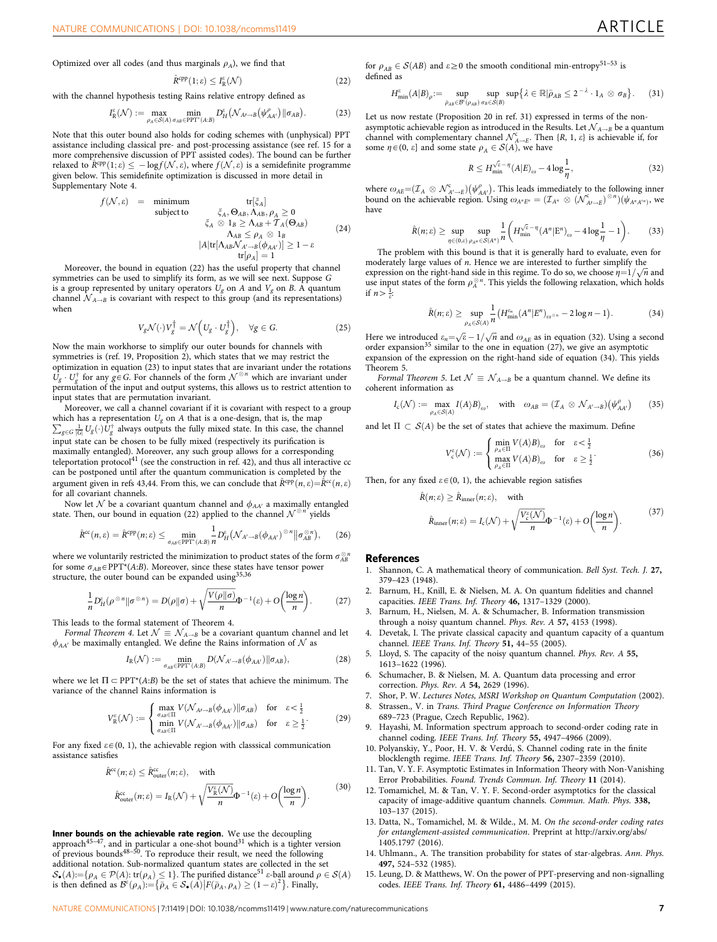<span id="page-6-0"></span>Optimized over all codes (and thus marginals  $\rho_A$ ), we find that

$$
\hat{R}^{\text{cpp}}(1;\varepsilon) \le I^{\varepsilon}_{\text{R}}(\mathcal{N})\tag{22}
$$

with the channel hypothesis testing Rains relative entropy defined as

$$
I_{\mathcal{R}}^{\varepsilon}(\mathcal{N}) := \max_{\rho_A \in \mathcal{S}(A)} \min_{\sigma_{AB} \in \text{PPT}^*(A:B)} D_H^{\varepsilon}(\mathcal{N}_{A\prime \to B}(\psi_{AA'}^{\rho}) || \sigma_{AB}). \tag{23}
$$

Note that this outer bound also holds for coding schemes with (unphysical) PPT assistance including classical pre- and post-processing assistance (see ref. 15 for a more comprehensive discussion of PPT assisted codes). The bound can be further relaxed to  $\hat{R}^{cpp}(1;\varepsilon) \leq -\log f(\mathcal{N},\varepsilon)$ , where  $f(\mathcal{N},\varepsilon)$  is a semidefinite programme given below. This semidefinite optimization is discussed in more detail in Supplementary Note 4.

$$
f(\mathcal{N}, \varepsilon) = \text{minimum} \quad \text{tr}[\xi_A] \n\text{subject to} \quad \xi_A, \Theta_{AB}, \Lambda_{AB}, \rho_A \ge 0 \n\zeta_A \otimes 1_B \ge \Lambda_{AB} + \mathcal{T}_A(\Theta_{AB}) \n\Lambda_{AB} \le \rho_A \otimes 1_B \n|A| \text{tr}[\Lambda_{AB} \mathcal{N}_{A' \to B}(\phi_{AA'})] \ge 1 - \varepsilon \n\text{tr}[\rho_A] = 1
$$
\n(24)

Moreover, the bound in equation (22) has the useful property that channel symmetries can be used to simplify its form, as we will see next. Suppose G is a group represented by unitary operators  $U_g$  on A and  $V_g$  on B. A quantum channel  $\mathcal{N}_{A\rightarrow B}$  is covariant with respect to this group (and its representations) when

$$
V_g \mathcal{N}(\cdot) V_g^\dagger = \mathcal{N}\Big(U_g \cdot U_g^\dagger\Big), \quad \forall g \in G. \tag{25}
$$

Now the main workhorse to simplify our outer bounds for channels with symmetries is ([ref. 19](#page-7-0), Proposition 2), which states that we may restrict the optimization in equation (23) to input states that are invariant under the rotations  $\dot{U}_g \cdot U_g^{\dagger}$  for any  $g \in G$ . For channels of the form  $\mathcal{N}^{\otimes n}$  which are invariant under permutation of the input and output systems, this allows us to restrict attention to input states that are permutation invariant.

Moreover, we call a channel covariant if it is covariant with respect to a group  $\sum_{g \in G} \frac{1}{|G|} U_g(\cdot) U_g^{\dagger}$  always outputs the fully mixed state. In this case, the channel which has a representation  $U_g$  on A that is a one-design, that is, the map  $\frac{1}{\sqrt{2}}$  input state can be chosen to be fully mixed (respectively its purification is maximally entangled). Moreover, any such group allows for a corresponding<br>teleportation protocol<sup>[41](#page-7-0)</sup> (see the construction in [ref. 42\)](#page-7-0), and thus all interactive cc can be postponed until after the quantum communication is completed by the argument given in [refs 43,44.](#page-7-0) From this, we can conclude that  $\hat{R}^{\text{cpp}}(n,\varepsilon) = \hat{R}^{\text{cc}}(n,\varepsilon)$ for all covariant channels.

Now let  $\mathcal N$  be a covariant quantum channel and  $\phi_{AA'}$  a maximally entangled te. Then, our bound in equation (22) applied to the channel  $\mathcal N^{\otimes n}$  yields state. Then, our bound in equation (22) applied to the channel  $\mathcal{N}^{\otimes}$ 

$$
\hat{R}^{\text{cc}}(n,\varepsilon) = \hat{R}^{\text{cpp}}(n;\varepsilon) \le \min_{\sigma_{AB} \in \text{PPT}^*(A:B)} \frac{1}{n} D_H^{\varepsilon}(\mathcal{N}_{A'-B}(\phi_{AA'})^{\otimes n} \|\sigma_{AB}^{\otimes n}), \qquad (26)
$$

where we voluntarily restricted the minimization to product states of the form  $\sigma_{AR}^{\otimes n}$ for some  $\sigma_{AB} \in \text{PPT}^{*}(A:B)$ . Moreover, since these states have tensor power structure, the outer bound can be expanded using $35,36$ 

$$
\frac{1}{n}D_H^{\varepsilon}(\rho^{\otimes n}||\sigma^{\otimes n}) = D(\rho||\sigma) + \sqrt{\frac{V(\rho||\sigma)}{n}}\Phi^{-1}(\varepsilon) + O\left(\frac{\log n}{n}\right). \tag{27}
$$

This leads to the formal statement of Theorem 4.

Formal Theorem 4. Let  $\mathcal{N} \equiv \mathcal{N}_{A \rightarrow B}$  be a covariant quantum channel and let  $\phi_{AA'}$  be maximally entangled. We define the Rains information of  $\mathcal N$  as

$$
I_{R}(\mathcal{N}) := \min_{\sigma_{AB} \in \text{PPT}^*(A:B)} D(\mathcal{N}_{A'\to B}(\phi_{AA'}) || \sigma_{AB}), \tag{28}
$$

where we let  $\Pi \subset \text{PPT}^*(A:B)$  be the set of states that achieve the minimum. The variance of the channel Rains information is

$$
V_{\rm R}^{\varepsilon}(\mathcal{N}) := \begin{cases} \max_{\sigma_{AB} \in \Pi} V(\mathcal{N}_{A\prime \to B}(\phi_{AA\prime}) || \sigma_{AB}) & \text{for} \quad \varepsilon < \frac{1}{2} \\ \min_{\sigma_{AB} \in \Pi} V(\mathcal{N}_{A\prime \to B}(\phi_{AA\prime}) || \sigma_{AB}) & \text{for} \quad \varepsilon \ge \frac{1}{2} \end{cases} \tag{29}
$$

For any fixed  $\varepsilon \in (0, 1)$ , the achievable region with classsical communication assistance satisfies

$$
\hat{R}^{cc}(n; \varepsilon) \le \hat{R}_{\text{outer}}^{cc}(n; \varepsilon), \quad \text{with}
$$
\n
$$
\hat{R}_{\text{outer}}^{cc}(n; \varepsilon) = I_{\text{R}}(\mathcal{N}) + \sqrt{\frac{V_{\text{R}}^{c}(\mathcal{N})}{n}} \Phi^{-1}(\varepsilon) + O\left(\frac{\log n}{n}\right). \tag{30}
$$

Inner bounds on the achievable rate region. We use the decoupling approach<sup>45-47</sup>, and in particular a one-shot bound<sup>[31](#page-7-0)</sup> which is a tighter version of previous bounds $48-50$ . To reproduce their result, we need the following additional notation. Sub-normalized quantum states are collected in the set  $\mathcal{S}_{\bullet}(A) := \{ \rho_A \in \mathcal{P}(A) : \text{tr}(\rho_A) \leq 1 \}.$  The purified distance<sup>[51](#page-7-0)</sup>  $\varepsilon$ -ball around  $\rho \in \mathcal{S}(A)$  $\mathcal{B}_{\bullet}(A) = \{ \mathcal{P}_A \in \mathcal{P}(A) : \mathfrak{u}(\mathcal{P}_A) \leq 1 \}$ . The punned distance  $\epsilon$ -ban around is then defined as  $\mathcal{B}^{\epsilon}(\rho_A) := \{ \bar{\rho}_A \in \mathcal{S}_{\bullet}(A) | F(\bar{\rho}_A, \rho_A) \geq (1 - \epsilon)^2 \}$ . Finally,

for  $\rho_{AB} \in \mathcal{S}(AB)$  and  $\varepsilon \ge 0$  the smooth conditional min-entropy<sup>[51–53](#page-7-0)</sup> is defined as

$$
H_{\min}^{\varepsilon}(A|B)_{\rho} := \sup_{\bar{\rho}_{AB} \in \mathcal{B}^{\varepsilon}(\rho_{AB})} \sup_{\sigma_B \in S(B)} \sup \{ \lambda \in \mathbb{R} | \bar{\rho}_{AB} \leq 2^{-\lambda} \cdot 1_A \otimes \sigma_B \}.
$$
 (31)

Let us now restate (Proposition 20 in [ref. 31](#page-7-0)) expressed in terms of the nonasymptotic achievable region as introduced in the Results. Let  $\mathcal{N}_{A\rightarrow B}$  be a quantum channel with complementary channel  $\mathcal{N}_{A\to E}^c$ . Then  $\{R, 1, \varepsilon\}$  is achievable if, for some  $\eta \in (0, \varepsilon]$  and some state  $\rho_A \in \mathcal{S}(A)$ , we have

$$
R \le H_{\min}^{\sqrt{e} - \eta} (A|E)_{\omega} - 4\log\frac{1}{\eta},\tag{32}
$$

where  $\omega_{AE} = (\mathcal{I}_A \otimes \mathcal{N}_{A' \to E}^c)(\psi_{AA'}^\rho)$ . This leads immediately to the following inner bound on the achievable region. Using  $\omega_{A^n E^n} = (\mathcal{I}_{A^n} \otimes (\mathcal{N}_{A \rightarrow E}^c)^{\otimes n})(\psi_{A^n A'^n})$ , we have

$$
\hat{R}(n;\varepsilon) \ge \sup_{\eta \in (0,\varepsilon)} \sup_{\rho_{\mathcal{A}^n} \in \mathcal{S}(A^n)} \frac{1}{n} \left( H_{\min}^{\sqrt{\varepsilon}-\eta} (A^n | \mathcal{E}^n)_{\omega} - 4 \log \frac{1}{\eta} - 1 \right). \tag{33}
$$

The problem with this bound is that it is generally hard to evaluate, even for moderately large values of n. Hence we are interested to further simplify the moderately large values of *n*. Thence we are interested to further simplify the expression on the right-hand side in this regime. To do so, we choose  $\eta = 1/\sqrt{n}$  and use input states of the form  $\rho_A^{\otimes n}$ . This yields the following relaxation, which holds if  $n > \frac{1}{\varepsilon}$ :

$$
\hat{R}(n; \varepsilon) \ge \sup_{\rho_A \in \mathcal{S}(A)} \frac{1}{n} \left( H_{\min}^{\varepsilon_n} (A^n | E^n)_{\omega^{\otimes n}} - 2 \log n - 1 \right). \tag{34}
$$

Here we introduced  $\varepsilon_n = \sqrt{\varepsilon} - 1/\sqrt{n}$  and  $\omega_{AE}$  as in equation (32). Using a second order expansion<sup>[35](#page-7-0)</sup> similar to the one in equation  $(27)$ , we give an asymptotic expansion of the expression on the right-hand side of equation (34). This yields Theorem 5.

Formal Theorem 5. Let  $\mathcal{N} \equiv \mathcal{N}_{A \rightarrow B}$  be a quantum channel. We define its coherent information as

$$
I_{c}(\mathcal{N}) := \max_{\rho_{A} \in \mathcal{S}(A)} I(A \rangle B)_{\omega}, \quad \text{with} \quad \omega_{AB} = (\mathcal{I}_{A} \otimes \mathcal{N}_{A' \to B})(\psi_{AA'}^{\rho}) \tag{35}
$$

and let  $\Pi \subset S(A)$  be the set of states that achieve the maximum. Define

$$
V_c^{\varepsilon}(\mathcal{N}) := \begin{cases} \min_{\rho_A \in \Pi} V(A) B)_{\omega} & \text{for } \varepsilon < \frac{1}{2} \\ \max_{\rho_A \in \Pi} V(A) B)_{\omega} & \text{for } \varepsilon \ge \frac{1}{2} \end{cases}
$$
 (36)

Then, for any fixed  $\varepsilon \in (0, 1)$ , the achievable region satisfies

$$
\hat{R}(n; \varepsilon) \ge \hat{R}_{\text{inner}}(n; \varepsilon), \quad \text{with}
$$
\n
$$
\hat{R}_{\text{inner}}(n; \varepsilon) = I_{\text{c}}(\mathcal{N}) + \sqrt{\frac{V_{\text{c}}^{\varepsilon}(\mathcal{N})}{n}} \Phi^{-1}(\varepsilon) + O\left(\frac{\log n}{n}\right). \tag{37}
$$

#### References

- 1. Shannon, C. A mathematical theory of communication. Bell Syst. Tech. J. 27, 379–423 (1948).
- 2. Barnum, H., Knill, E. & Nielsen, M. A. On quantum fidelities and channel capacities. IEEE Trans. Inf. Theory 46, 1317–1329 (2000).
- 3. Barnum, H., Nielsen, M. A. & Schumacher, B. Information transmission through a noisy quantum channel. Phys. Rev. A 57, 4153 (1998).
- 4. Devetak, I. The private classical capacity and quantum capacity of a quantum channel. IEEE Trans. Inf. Theory 51, 44–55 (2005).
- 5. Lloyd, S. The capacity of the noisy quantum channel. Phys. Rev. A 55, 1613–1622 (1996).
- 6. Schumacher, B. & Nielsen, M. A. Quantum data processing and error correction. Phys. Rev. A 54, 2629 (1996).
- 7. Shor, P. W. Lectures Notes, MSRI Workshop on Quantum Computation (2002).
- 8. Strassen., V. in Trans. Third Prague Conference on Information Theory 689–723 (Prague, Czech Republic, 1962).
- 9. Hayashi, M. Information spectrum approach to second-order coding rate in channel coding. IEEE Trans. Inf. Theory 55, 4947–4966 (2009).
- 10. Polyanskiy, Y., Poor, H. V. & Verdú, S. Channel coding rate in the finite blocklength regime. IEEE Trans. Inf. Theory 56, 2307–2359 (2010).
- 11. Tan, V. Y. F. Asymptotic Estimates in Information Theory with Non-Vanishing Error Probabilities. Found. Trends Commun. Inf. Theory 11 (2014).
- 12. Tomamichel, M. & Tan, V. Y. F. Second-order asymptotics for the classical capacity of image-additive quantum channels. Commun. Math. Phys. 338, 103–137 (2015).
- 13. Datta, N., Tomamichel, M. & Wilde., M. M. On the second-order coding rates for entanglement-assisted communication. Preprint at [http://arxiv.org/abs/](http://arxiv.org/abs/1405.1797) [1405.1797](http://arxiv.org/abs/1405.1797) (2016).
- 14. Uhlmann., A. The transition probability for states of star-algebras. Ann. Phys. 497, 524–532 (1985).
- 15. Leung, D. & Matthews, W. On the power of PPT-preserving and non-signalling codes. IEEE Trans. Inf. Theory 61, 4486–4499 (2015).